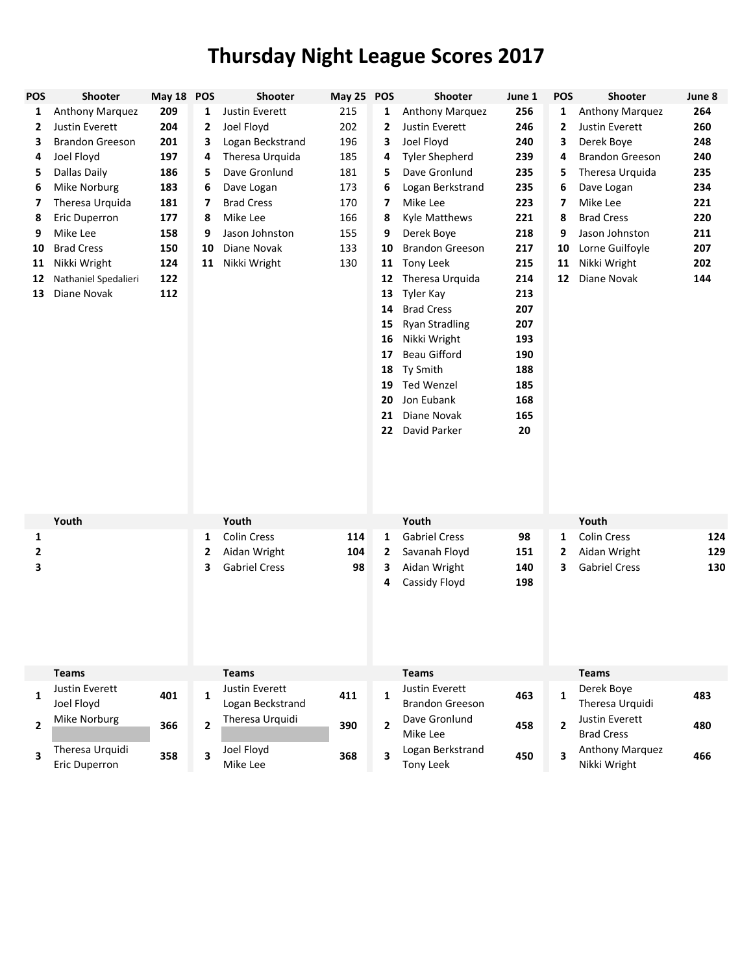## **Thursday Night League Scores 2017**

| <b>POS</b>   | Shooter                          | May 18 POS |                         | Shooter                            | May 25 POS |                         | Shooter                                  | June 1 | <b>POS</b>     | Shooter                         | June 8 |
|--------------|----------------------------------|------------|-------------------------|------------------------------------|------------|-------------------------|------------------------------------------|--------|----------------|---------------------------------|--------|
| 1            | Anthony Marquez                  | 209        | 1                       | Justin Everett                     | 215        | 1                       | Anthony Marquez                          | 256    | 1              | Anthony Marquez                 | 264    |
| 2            | Justin Everett                   | 204        | 2                       | Joel Floyd                         | 202        | 2                       | Justin Everett                           | 246    | 2              | Justin Everett                  | 260    |
| 3            | <b>Brandon Greeson</b>           | 201        | 3                       | Logan Beckstrand                   | 196        | 3                       | Joel Floyd                               | 240    | 3              | Derek Boye                      | 248    |
| 4            | Joel Floyd                       | 197        | 4                       | Theresa Urquida                    | 185        | 4                       | <b>Tyler Shepherd</b>                    | 239    | 4              | <b>Brandon Greeson</b>          | 240    |
| 5            | Dallas Daily                     | 186        | 5                       | Dave Gronlund                      | 181        | 5                       | Dave Gronlund                            | 235    | 5              | Theresa Urquida                 | 235    |
| 6            | Mike Norburg                     | 183        | 6                       | Dave Logan                         | 173        | 6                       | Logan Berkstrand                         | 235    | 6              | Dave Logan                      | 234    |
| 7            | Theresa Urquida                  | 181        | 7                       | <b>Brad Cress</b>                  | 170        | 7                       | Mike Lee                                 | 223    | 7              | Mike Lee                        | 221    |
| 8            | Eric Duperron                    | 177        | 8                       | Mike Lee                           | 166        | 8                       | Kyle Matthews                            | 221    | 8              | <b>Brad Cress</b>               | 220    |
| 9            | Mike Lee                         | 158        | 9                       | Jason Johnston                     | 155        | 9                       | Derek Boye                               | 218    | 9              | Jason Johnston                  | 211    |
| 10           | <b>Brad Cress</b>                | 150        | 10                      | Diane Novak                        | 133        | 10                      | <b>Brandon Greeson</b>                   | 217    | 10             | Lorne Guilfoyle                 | 207    |
| 11           | Nikki Wright                     | 124        | 11                      | Nikki Wright                       | 130        | 11                      | Tony Leek                                | 215    | 11             | Nikki Wright                    | 202    |
| 12           | Nathaniel Spedalieri             | 122        |                         |                                    |            | 12                      | Theresa Urquida                          | 214    | 12             | Diane Novak                     | 144    |
| 13           | Diane Novak                      | 112        |                         |                                    |            | 13                      | Tyler Kay                                | 213    |                |                                 |        |
|              |                                  |            |                         |                                    |            | 14                      | <b>Brad Cress</b>                        | 207    |                |                                 |        |
|              |                                  |            |                         |                                    |            | 15                      | <b>Ryan Stradling</b>                    | 207    |                |                                 |        |
|              |                                  |            |                         |                                    |            | 16                      | Nikki Wright                             | 193    |                |                                 |        |
|              |                                  |            |                         |                                    |            | 17                      | <b>Beau Gifford</b>                      | 190    |                |                                 |        |
|              |                                  |            |                         |                                    |            | 18                      | Ty Smith                                 | 188    |                |                                 |        |
|              |                                  |            |                         |                                    |            | 19                      | <b>Ted Wenzel</b>                        | 185    |                |                                 |        |
|              |                                  |            |                         |                                    |            | 20                      | Jon Eubank                               | 168    |                |                                 |        |
|              |                                  |            |                         |                                    |            | 21                      | Diane Novak                              | 165    |                |                                 |        |
|              |                                  |            |                         |                                    |            | 22                      | David Parker                             | 20     |                |                                 |        |
|              | Youth                            |            |                         | Youth                              |            |                         | Youth                                    |        |                | Youth                           |        |
| 1            |                                  |            | 1                       | <b>Colin Cress</b>                 | 114        | 1                       | <b>Gabriel Cress</b>                     | 98     | 1              | <b>Colin Cress</b>              | 124    |
| 2            |                                  |            | $\mathbf{2}$            | Aidan Wright                       | 104        | 2                       | Savanah Floyd                            | 151    | 2              | Aidan Wright                    | 129    |
| 3            |                                  |            | 3                       | <b>Gabriel Cress</b>               | 98         | 3                       | Aidan Wright                             | 140    | 3              | <b>Gabriel Cress</b>            | 130    |
|              |                                  |            |                         |                                    |            | 4                       | Cassidy Floyd                            | 198    |                |                                 |        |
|              | <b>Teams</b>                     |            |                         | <b>Teams</b>                       |            |                         | <b>Teams</b>                             |        |                | <b>Teams</b>                    |        |
| $\mathbf{1}$ | Justin Everett<br>Joel Floyd     | 401        | $\mathbf{1}$            | Justin Everett<br>Logan Beckstrand | 411        | $\mathbf{1}$            | Justin Everett<br><b>Brandon Greeson</b> | 463    | $\mathbf{1}$   | Derek Boye<br>Theresa Urquidi   | 483    |
|              | Mike Norburg                     |            |                         | Theresa Urquidi                    |            |                         | Dave Gronlund                            |        |                | Justin Everett                  |        |
| $\mathbf{2}$ |                                  | 366        | $\overline{2}$          |                                    | 390        | $\overline{2}$          | Mike Lee                                 | 458    | $\overline{2}$ | <b>Brad Cress</b>               | 480    |
| 3            | Theresa Urquidi<br>Eric Duperron | 358        | $\overline{\mathbf{3}}$ | Joel Floyd<br>Mike Lee             | 368        | $\overline{\mathbf{3}}$ | Logan Berkstrand<br>Tony Leek            | 450    | 3              | Anthony Marquez<br>Nikki Wright | 466    |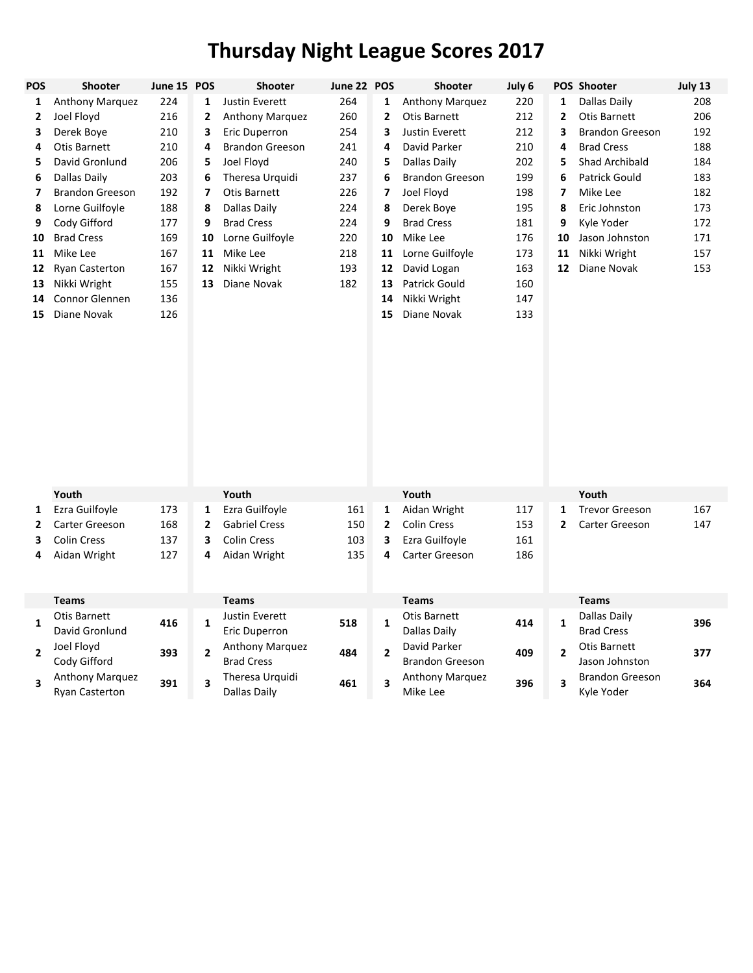## **Thursday Night League Scores 2017**

| POS            | <b>Shooter</b>                           | June 15 POS |                | Shooter                                     | June 22 POS |                | Shooter                                | July 6 |                | POS Shooter                          | July 13 |
|----------------|------------------------------------------|-------------|----------------|---------------------------------------------|-------------|----------------|----------------------------------------|--------|----------------|--------------------------------------|---------|
| 1              | Anthony Marquez                          | 224         | 1              | Justin Everett                              | 264         | 1              | Anthony Marquez                        | 220    | 1              | <b>Dallas Daily</b>                  | 208     |
| 2              | Joel Floyd                               | 216         | 2              | Anthony Marquez                             | 260         | $\mathbf{z}$   | <b>Otis Barnett</b>                    | 212    | $\overline{2}$ | Otis Barnett                         | 206     |
| 3              | Derek Boye                               | 210         | 3              | Eric Duperron                               | 254         | 3              | <b>Justin Everett</b>                  | 212    | 3              | <b>Brandon Greeson</b>               | 192     |
| 4              | <b>Otis Barnett</b>                      | 210         | 4              | <b>Brandon Greeson</b>                      | 241         | 4              | David Parker                           | 210    | 4              | <b>Brad Cress</b>                    | 188     |
| 5              | David Gronlund                           | 206         | 5              | Joel Floyd                                  | 240         | 5              | Dallas Daily                           | 202    | 5              | Shad Archibald                       | 184     |
| 6              | Dallas Daily                             | 203         | 6              | Theresa Urquidi                             | 237         | 6              | <b>Brandon Greeson</b>                 | 199    | 6              | Patrick Gould                        | 183     |
| 7              | <b>Brandon Greeson</b>                   | 192         | 7              | Otis Barnett                                | 226         | 7              | Joel Floyd                             | 198    | 7              | Mike Lee                             | 182     |
| 8              | Lorne Guilfoyle                          | 188         | 8              | Dallas Daily                                | 224         | 8              | Derek Boye                             | 195    | 8              | Eric Johnston                        | 173     |
| 9              | Cody Gifford                             | 177         | 9              | <b>Brad Cress</b>                           | 224         | 9              | <b>Brad Cress</b>                      | 181    | 9              | Kyle Yoder                           | 172     |
| 10             | <b>Brad Cress</b>                        | 169         | 10             | Lorne Guilfoyle                             | 220         | 10             | Mike Lee                               | 176    | 10             | Jason Johnston                       | 171     |
| 11             | Mike Lee                                 | 167         | 11             | Mike Lee                                    | 218         | 11             | Lorne Guilfoyle                        | 173    | 11             | Nikki Wright                         | 157     |
| 12             | Ryan Casterton                           | 167         | 12             | Nikki Wright                                | 193         | 12             | David Logan                            | 163    | 12             | Diane Novak                          | 153     |
| 13             | Nikki Wright                             | 155         | 13             | Diane Novak                                 | 182         | 13             | <b>Patrick Gould</b>                   | 160    |                |                                      |         |
| 14             | Connor Glennen                           | 136         |                |                                             |             | 14             | Nikki Wright                           | 147    |                |                                      |         |
| 15             | Diane Novak                              | 126         |                |                                             |             | 15             | Diane Novak                            | 133    |                |                                      |         |
|                | Youth                                    |             |                | Youth                                       |             |                | Youth                                  |        |                | Youth                                |         |
| 1              | Ezra Guilfoyle                           | 173         | 1              | Ezra Guilfoyle                              | 161         | $\mathbf{1}$   | Aidan Wright                           | 117    | $\mathbf{1}$   | <b>Trevor Greeson</b>                | 167     |
| 2              | Carter Greeson                           | 168         | 2              | <b>Gabriel Cress</b>                        | 150         | $\mathbf{2}$   | <b>Colin Cress</b>                     | 153    | 2              | Carter Greeson                       | 147     |
| 3              | <b>Colin Cress</b>                       | 137         | 3              | <b>Colin Cress</b>                          | 103         | 3              | Ezra Guilfoyle                         | 161    |                |                                      |         |
| 4              | Aidan Wright                             | 127         | 4              | Aidan Wright                                | 135         | 4              | Carter Greeson                         | 186    |                |                                      |         |
|                | <b>Teams</b>                             |             |                | <b>Teams</b>                                |             |                | <b>Teams</b>                           |        |                | <b>Teams</b>                         |         |
| $\mathbf{1}$   | <b>Otis Barnett</b><br>David Gronlund    | 416         | $\mathbf{1}$   | Justin Everett<br>Eric Duperron             | 518         | $\mathbf{1}$   | <b>Otis Barnett</b><br>Dallas Daily    | 414    | $\mathbf{1}$   | Dallas Daily<br><b>Brad Cress</b>    | 396     |
| $\overline{2}$ | Joel Floyd<br>Cody Gifford               | 393         | $\overline{2}$ | <b>Anthony Marquez</b><br><b>Brad Cress</b> | 484         | $\overline{2}$ | David Parker<br><b>Brandon Greeson</b> | 409    | $\overline{2}$ | Otis Barnett<br>Jason Johnston       | 377     |
| 3              | Anthony Marquez<br><b>Ryan Casterton</b> | 391         | 3              | Theresa Urquidi<br>Dallas Daily             | 461         | 3              | Anthony Marquez<br>Mike Lee            | 396    | 3              | <b>Brandon Greeson</b><br>Kyle Yoder | 364     |